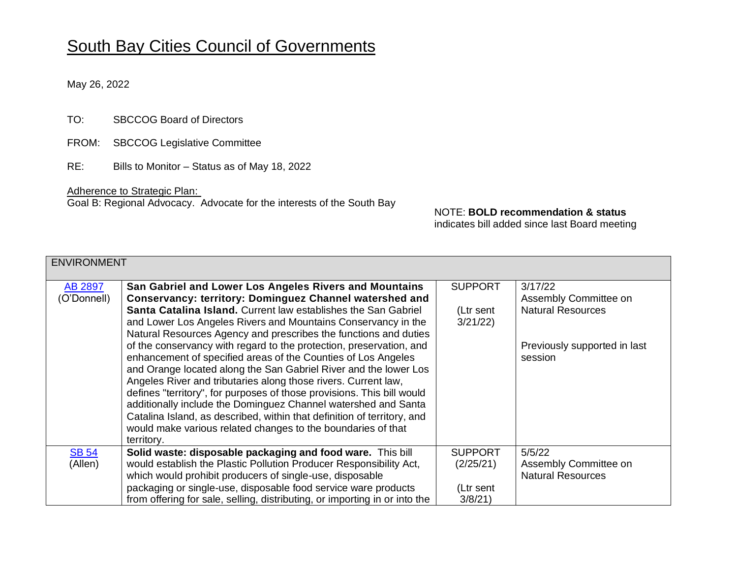## South Bay Cities Council of Governments

May 26, 2022

- TO: SBCCOG Board of Directors
- FROM: SBCCOG Legislative Committee
- RE: Bills to Monitor Status as of May 18, 2022

Adherence to Strategic Plan: Goal B: Regional Advocacy. Advocate for the interests of the South Bay

## NOTE: **BOLD recommendation & status**

indicates bill added since last Board meeting

| <b>ENVIRONMENT</b> |                                                                            |                |                              |  |
|--------------------|----------------------------------------------------------------------------|----------------|------------------------------|--|
| AB 2897            | San Gabriel and Lower Los Angeles Rivers and Mountains                     | <b>SUPPORT</b> | 3/17/22                      |  |
| (O'Donnell)        | <b>Conservancy: territory: Dominguez Channel watershed and</b>             |                | Assembly Committee on        |  |
|                    | Santa Catalina Island, Current law establishes the San Gabriel             | (Ltr sent      | <b>Natural Resources</b>     |  |
|                    | and Lower Los Angeles Rivers and Mountains Conservancy in the              | 3/21/22        |                              |  |
|                    | Natural Resources Agency and prescribes the functions and duties           |                |                              |  |
|                    | of the conservancy with regard to the protection, preservation, and        |                | Previously supported in last |  |
|                    | enhancement of specified areas of the Counties of Los Angeles              |                | session                      |  |
|                    | and Orange located along the San Gabriel River and the lower Los           |                |                              |  |
|                    | Angeles River and tributaries along those rivers. Current law,             |                |                              |  |
|                    | defines "territory", for purposes of those provisions. This bill would     |                |                              |  |
|                    | additionally include the Dominguez Channel watershed and Santa             |                |                              |  |
|                    | Catalina Island, as described, within that definition of territory, and    |                |                              |  |
|                    | would make various related changes to the boundaries of that               |                |                              |  |
|                    | territory.                                                                 |                |                              |  |
| <b>SB 54</b>       | Solid waste: disposable packaging and food ware. This bill                 | <b>SUPPORT</b> | 5/5/22                       |  |
| (Allen)            | would establish the Plastic Pollution Producer Responsibility Act,         | (2/25/21)      | Assembly Committee on        |  |
|                    | which would prohibit producers of single-use, disposable                   |                | <b>Natural Resources</b>     |  |
|                    | packaging or single-use, disposable food service ware products             | (Ltr sent      |                              |  |
|                    | from offering for sale, selling, distributing, or importing in or into the | 3/8/21         |                              |  |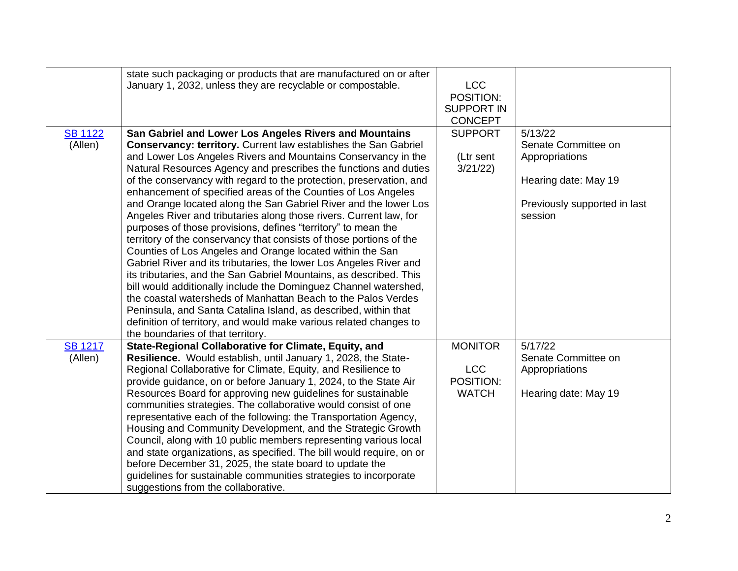|                           | state such packaging or products that are manufactured on or after<br>January 1, 2032, unless they are recyclable or compostable.                                                                                                                                                                                                                                                                                                                                                                                                                                                                                                                                                                                                                                                                                                                                                                                                                                                                                                                                                                                                                                                                                           | <b>LCC</b><br>POSITION:                                   |                                                                                                                     |
|---------------------------|-----------------------------------------------------------------------------------------------------------------------------------------------------------------------------------------------------------------------------------------------------------------------------------------------------------------------------------------------------------------------------------------------------------------------------------------------------------------------------------------------------------------------------------------------------------------------------------------------------------------------------------------------------------------------------------------------------------------------------------------------------------------------------------------------------------------------------------------------------------------------------------------------------------------------------------------------------------------------------------------------------------------------------------------------------------------------------------------------------------------------------------------------------------------------------------------------------------------------------|-----------------------------------------------------------|---------------------------------------------------------------------------------------------------------------------|
|                           |                                                                                                                                                                                                                                                                                                                                                                                                                                                                                                                                                                                                                                                                                                                                                                                                                                                                                                                                                                                                                                                                                                                                                                                                                             | <b>SUPPORT IN</b><br><b>CONCEPT</b>                       |                                                                                                                     |
| <b>SB 1122</b><br>(Allen) | San Gabriel and Lower Los Angeles Rivers and Mountains<br><b>Conservancy: territory.</b> Current law establishes the San Gabriel<br>and Lower Los Angeles Rivers and Mountains Conservancy in the<br>Natural Resources Agency and prescribes the functions and duties<br>of the conservancy with regard to the protection, preservation, and<br>enhancement of specified areas of the Counties of Los Angeles<br>and Orange located along the San Gabriel River and the lower Los<br>Angeles River and tributaries along those rivers. Current law, for<br>purposes of those provisions, defines "territory" to mean the<br>territory of the conservancy that consists of those portions of the<br>Counties of Los Angeles and Orange located within the San<br>Gabriel River and its tributaries, the lower Los Angeles River and<br>its tributaries, and the San Gabriel Mountains, as described. This<br>bill would additionally include the Dominguez Channel watershed,<br>the coastal watersheds of Manhattan Beach to the Palos Verdes<br>Peninsula, and Santa Catalina Island, as described, within that<br>definition of territory, and would make various related changes to<br>the boundaries of that territory. | <b>SUPPORT</b><br>(Ltr sent<br>3/21/22                    | 5/13/22<br>Senate Committee on<br>Appropriations<br>Hearing date: May 19<br>Previously supported in last<br>session |
| <b>SB 1217</b><br>(Allen) | State-Regional Collaborative for Climate, Equity, and<br>Resilience. Would establish, until January 1, 2028, the State-<br>Regional Collaborative for Climate, Equity, and Resilience to<br>provide guidance, on or before January 1, 2024, to the State Air<br>Resources Board for approving new guidelines for sustainable<br>communities strategies. The collaborative would consist of one<br>representative each of the following: the Transportation Agency,<br>Housing and Community Development, and the Strategic Growth<br>Council, along with 10 public members representing various local<br>and state organizations, as specified. The bill would require, on or<br>before December 31, 2025, the state board to update the<br>guidelines for sustainable communities strategies to incorporate<br>suggestions from the collaborative.                                                                                                                                                                                                                                                                                                                                                                         | <b>MONITOR</b><br><b>LCC</b><br>POSITION:<br><b>WATCH</b> | 5/17/22<br>Senate Committee on<br>Appropriations<br>Hearing date: May 19                                            |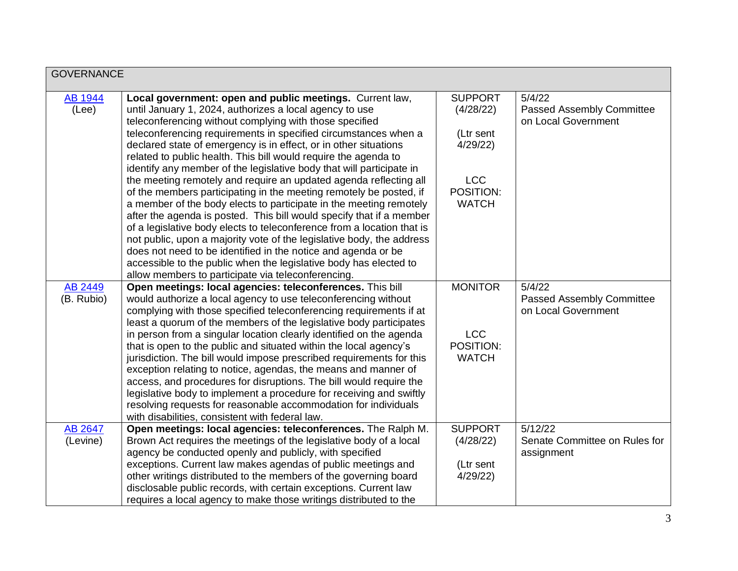| <b>GOVERNANCE</b>       |                                                                                                                                                                                                                                                                                                                                                                                                                                                                                                                                                                                                                                                                                                                                                                     |                                          |                                                            |
|-------------------------|---------------------------------------------------------------------------------------------------------------------------------------------------------------------------------------------------------------------------------------------------------------------------------------------------------------------------------------------------------------------------------------------------------------------------------------------------------------------------------------------------------------------------------------------------------------------------------------------------------------------------------------------------------------------------------------------------------------------------------------------------------------------|------------------------------------------|------------------------------------------------------------|
| <b>AB 1944</b><br>(Lee) | Local government: open and public meetings. Current law,<br>until January 1, 2024, authorizes a local agency to use<br>teleconferencing without complying with those specified                                                                                                                                                                                                                                                                                                                                                                                                                                                                                                                                                                                      | <b>SUPPORT</b><br>(4/28/22)              | 5/4/22<br>Passed Assembly Committee<br>on Local Government |
|                         | teleconferencing requirements in specified circumstances when a<br>declared state of emergency is in effect, or in other situations<br>related to public health. This bill would require the agenda to<br>identify any member of the legislative body that will participate in                                                                                                                                                                                                                                                                                                                                                                                                                                                                                      | (Ltr sent<br>4/29/22                     |                                                            |
|                         | the meeting remotely and require an updated agenda reflecting all<br>of the members participating in the meeting remotely be posted, if<br>a member of the body elects to participate in the meeting remotely<br>after the agenda is posted. This bill would specify that if a member<br>of a legislative body elects to teleconference from a location that is<br>not public, upon a majority vote of the legislative body, the address<br>does not need to be identified in the notice and agenda or be<br>accessible to the public when the legislative body has elected to<br>allow members to participate via teleconferencing.                                                                                                                                | <b>LCC</b><br>POSITION:<br><b>WATCH</b>  |                                                            |
| AB 2449                 | Open meetings: local agencies: teleconferences. This bill                                                                                                                                                                                                                                                                                                                                                                                                                                                                                                                                                                                                                                                                                                           | <b>MONITOR</b>                           | 5/4/22                                                     |
| (B. Rubio)              | would authorize a local agency to use teleconferencing without<br>complying with those specified teleconferencing requirements if at<br>least a quorum of the members of the legislative body participates<br>in person from a singular location clearly identified on the agenda<br>that is open to the public and situated within the local agency's<br>jurisdiction. The bill would impose prescribed requirements for this<br>exception relating to notice, agendas, the means and manner of<br>access, and procedures for disruptions. The bill would require the<br>legislative body to implement a procedure for receiving and swiftly<br>resolving requests for reasonable accommodation for individuals<br>with disabilities, consistent with federal law. | <b>LCC</b><br>POSITION:<br><b>WATCH</b>  | <b>Passed Assembly Committee</b><br>on Local Government    |
| AB 2647<br>(Levine)     | Open meetings: local agencies: teleconferences. The Ralph M.<br>Brown Act requires the meetings of the legislative body of a local<br>agency be conducted openly and publicly, with specified<br>exceptions. Current law makes agendas of public meetings and                                                                                                                                                                                                                                                                                                                                                                                                                                                                                                       | <b>SUPPORT</b><br>(4/28/22)<br>(Ltr sent | 5/12/22<br>Senate Committee on Rules for<br>assignment     |
|                         | other writings distributed to the members of the governing board<br>disclosable public records, with certain exceptions. Current law<br>requires a local agency to make those writings distributed to the                                                                                                                                                                                                                                                                                                                                                                                                                                                                                                                                                           | 4/29/22                                  |                                                            |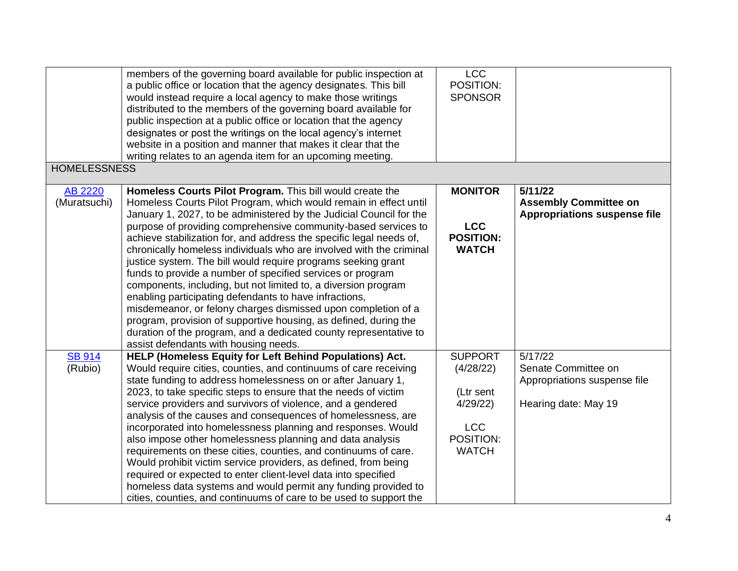| <b>LCC</b><br>members of the governing board available for public inspection at<br>POSITION:<br>a public office or location that the agency designates. This bill<br>would instead require a local agency to make those writings<br><b>SPONSOR</b><br>distributed to the members of the governing board available for<br>public inspection at a public office or location that the agency |  |
|-------------------------------------------------------------------------------------------------------------------------------------------------------------------------------------------------------------------------------------------------------------------------------------------------------------------------------------------------------------------------------------------|--|
| designates or post the writings on the local agency's internet                                                                                                                                                                                                                                                                                                                            |  |
| website in a position and manner that makes it clear that the                                                                                                                                                                                                                                                                                                                             |  |
| writing relates to an agenda item for an upcoming meeting.                                                                                                                                                                                                                                                                                                                                |  |
| <b>HOMELESSNESS</b>                                                                                                                                                                                                                                                                                                                                                                       |  |
| Homeless Courts Pilot Program. This bill would create the<br><b>MONITOR</b><br>5/11/22<br><b>AB 2220</b>                                                                                                                                                                                                                                                                                  |  |
| (Muratsuchi)<br>Homeless Courts Pilot Program, which would remain in effect until<br><b>Assembly Committee on</b>                                                                                                                                                                                                                                                                         |  |
| January 1, 2027, to be administered by the Judicial Council for the<br><b>Appropriations suspense file</b>                                                                                                                                                                                                                                                                                |  |
| purpose of providing comprehensive community-based services to<br><b>LCC</b>                                                                                                                                                                                                                                                                                                              |  |
| <b>POSITION:</b><br>achieve stabilization for, and address the specific legal needs of,                                                                                                                                                                                                                                                                                                   |  |
| <b>WATCH</b><br>chronically homeless individuals who are involved with the criminal<br>justice system. The bill would require programs seeking grant                                                                                                                                                                                                                                      |  |
| funds to provide a number of specified services or program                                                                                                                                                                                                                                                                                                                                |  |
| components, including, but not limited to, a diversion program                                                                                                                                                                                                                                                                                                                            |  |
| enabling participating defendants to have infractions,                                                                                                                                                                                                                                                                                                                                    |  |
| misdemeanor, or felony charges dismissed upon completion of a                                                                                                                                                                                                                                                                                                                             |  |
| program, provision of supportive housing, as defined, during the                                                                                                                                                                                                                                                                                                                          |  |
| duration of the program, and a dedicated county representative to                                                                                                                                                                                                                                                                                                                         |  |
| assist defendants with housing needs.                                                                                                                                                                                                                                                                                                                                                     |  |
| <b>SUPPORT</b><br><b>SB 914</b><br>HELP (Homeless Equity for Left Behind Populations) Act.<br>5/17/22                                                                                                                                                                                                                                                                                     |  |
| (Rubio)<br>Would require cities, counties, and continuums of care receiving<br>(4/28/22)<br>Senate Committee on                                                                                                                                                                                                                                                                           |  |
| state funding to address homelessness on or after January 1,<br>Appropriations suspense file                                                                                                                                                                                                                                                                                              |  |
| 2023, to take specific steps to ensure that the needs of victim<br>(Ltr sent                                                                                                                                                                                                                                                                                                              |  |
| 4/29/22<br>Hearing date: May 19<br>service providers and survivors of violence, and a gendered                                                                                                                                                                                                                                                                                            |  |
| analysis of the causes and consequences of homelessness, are                                                                                                                                                                                                                                                                                                                              |  |
| incorporated into homelessness planning and responses. Would<br><b>LCC</b>                                                                                                                                                                                                                                                                                                                |  |
| POSITION:<br>also impose other homelessness planning and data analysis<br><b>WATCH</b>                                                                                                                                                                                                                                                                                                    |  |
| requirements on these cities, counties, and continuums of care.<br>Would prohibit victim service providers, as defined, from being                                                                                                                                                                                                                                                        |  |
| required or expected to enter client-level data into specified                                                                                                                                                                                                                                                                                                                            |  |
|                                                                                                                                                                                                                                                                                                                                                                                           |  |
| homeless data systems and would permit any funding provided to                                                                                                                                                                                                                                                                                                                            |  |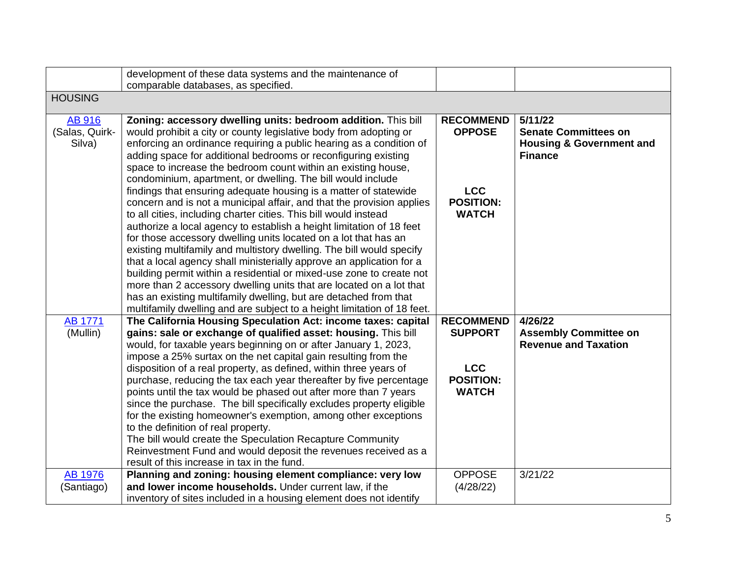|                | development of these data systems and the maintenance of<br>comparable databases, as specified. |                  |                                     |
|----------------|-------------------------------------------------------------------------------------------------|------------------|-------------------------------------|
| <b>HOUSING</b> |                                                                                                 |                  |                                     |
|                |                                                                                                 |                  |                                     |
| <b>AB 916</b>  | Zoning: accessory dwelling units: bedroom addition. This bill                                   | <b>RECOMMEND</b> | 5/11/22                             |
| (Salas, Quirk- | would prohibit a city or county legislative body from adopting or                               | <b>OPPOSE</b>    | <b>Senate Committees on</b>         |
| Silva)         | enforcing an ordinance requiring a public hearing as a condition of                             |                  | <b>Housing &amp; Government and</b> |
|                | adding space for additional bedrooms or reconfiguring existing                                  |                  | <b>Finance</b>                      |
|                | space to increase the bedroom count within an existing house,                                   |                  |                                     |
|                | condominium, apartment, or dwelling. The bill would include                                     |                  |                                     |
|                | findings that ensuring adequate housing is a matter of statewide                                | <b>LCC</b>       |                                     |
|                | concern and is not a municipal affair, and that the provision applies                           | <b>POSITION:</b> |                                     |
|                | to all cities, including charter cities. This bill would instead                                | <b>WATCH</b>     |                                     |
|                | authorize a local agency to establish a height limitation of 18 feet                            |                  |                                     |
|                | for those accessory dwelling units located on a lot that has an                                 |                  |                                     |
|                | existing multifamily and multistory dwelling. The bill would specify                            |                  |                                     |
|                | that a local agency shall ministerially approve an application for a                            |                  |                                     |
|                | building permit within a residential or mixed-use zone to create not                            |                  |                                     |
|                | more than 2 accessory dwelling units that are located on a lot that                             |                  |                                     |
|                |                                                                                                 |                  |                                     |
|                | has an existing multifamily dwelling, but are detached from that                                |                  |                                     |
|                | multifamily dwelling and are subject to a height limitation of 18 feet.                         |                  |                                     |
| <b>AB 1771</b> | The California Housing Speculation Act: income taxes: capital                                   | <b>RECOMMEND</b> | 4/26/22                             |
| (Mullin)       | gains: sale or exchange of qualified asset: housing. This bill                                  | <b>SUPPORT</b>   | <b>Assembly Committee on</b>        |
|                | would, for taxable years beginning on or after January 1, 2023,                                 |                  | <b>Revenue and Taxation</b>         |
|                | impose a 25% surtax on the net capital gain resulting from the                                  |                  |                                     |
|                | disposition of a real property, as defined, within three years of                               | <b>LCC</b>       |                                     |
|                | purchase, reducing the tax each year thereafter by five percentage                              | <b>POSITION:</b> |                                     |
|                | points until the tax would be phased out after more than 7 years                                | <b>WATCH</b>     |                                     |
|                | since the purchase. The bill specifically excludes property eligible                            |                  |                                     |
|                | for the existing homeowner's exemption, among other exceptions                                  |                  |                                     |
|                | to the definition of real property.                                                             |                  |                                     |
|                | The bill would create the Speculation Recapture Community                                       |                  |                                     |
|                | Reinvestment Fund and would deposit the revenues received as a                                  |                  |                                     |
|                | result of this increase in tax in the fund.                                                     |                  |                                     |
| <b>AB 1976</b> | Planning and zoning: housing element compliance: very low                                       | <b>OPPOSE</b>    | 3/21/22                             |
| (Santiago)     | and lower income households. Under current law, if the                                          | (4/28/22)        |                                     |
|                | inventory of sites included in a housing element does not identify                              |                  |                                     |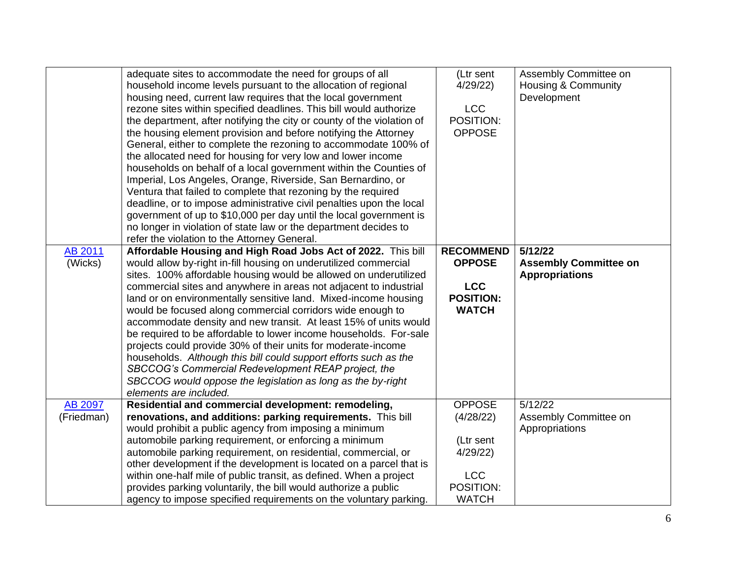|                       | adequate sites to accommodate the need for groups of all<br>household income levels pursuant to the allocation of regional<br>housing need, current law requires that the local government<br>rezone sites within specified deadlines. This bill would authorize<br>the department, after notifying the city or county of the violation of<br>the housing element provision and before notifying the Attorney<br>General, either to complete the rezoning to accommodate 100% of<br>the allocated need for housing for very low and lower income<br>households on behalf of a local government within the Counties of<br>Imperial, Los Angeles, Orange, Riverside, San Bernardino, or                                                                                                                                                    | (Ltr sent<br>4/29/22<br><b>LCC</b><br>POSITION:<br><b>OPPOSE</b>                              | Assembly Committee on<br>Housing & Community<br>Development      |
|-----------------------|------------------------------------------------------------------------------------------------------------------------------------------------------------------------------------------------------------------------------------------------------------------------------------------------------------------------------------------------------------------------------------------------------------------------------------------------------------------------------------------------------------------------------------------------------------------------------------------------------------------------------------------------------------------------------------------------------------------------------------------------------------------------------------------------------------------------------------------|-----------------------------------------------------------------------------------------------|------------------------------------------------------------------|
|                       | Ventura that failed to complete that rezoning by the required<br>deadline, or to impose administrative civil penalties upon the local<br>government of up to \$10,000 per day until the local government is<br>no longer in violation of state law or the department decides to<br>refer the violation to the Attorney General.                                                                                                                                                                                                                                                                                                                                                                                                                                                                                                          |                                                                                               |                                                                  |
| AB 2011<br>(Wicks)    | Affordable Housing and High Road Jobs Act of 2022. This bill<br>would allow by-right in-fill housing on underutilized commercial<br>sites. 100% affordable housing would be allowed on underutilized<br>commercial sites and anywhere in areas not adjacent to industrial<br>land or on environmentally sensitive land. Mixed-income housing<br>would be focused along commercial corridors wide enough to<br>accommodate density and new transit. At least 15% of units would<br>be required to be affordable to lower income households. For-sale<br>projects could provide 30% of their units for moderate-income<br>households. Although this bill could support efforts such as the<br>SBCCOG's Commercial Redevelopment REAP project, the<br>SBCCOG would oppose the legislation as long as the by-right<br>elements are included. | <b>RECOMMEND</b><br><b>OPPOSE</b><br><b>LCC</b><br><b>POSITION:</b><br><b>WATCH</b>           | 5/12/22<br><b>Assembly Committee on</b><br><b>Appropriations</b> |
| AB 2097<br>(Friedman) | Residential and commercial development: remodeling,<br>renovations, and additions: parking requirements. This bill<br>would prohibit a public agency from imposing a minimum<br>automobile parking requirement, or enforcing a minimum<br>automobile parking requirement, on residential, commercial, or<br>other development if the development is located on a parcel that is<br>within one-half mile of public transit, as defined. When a project<br>provides parking voluntarily, the bill would authorize a public<br>agency to impose specified requirements on the voluntary parking.                                                                                                                                                                                                                                            | <b>OPPOSE</b><br>(4/28/22)<br>(Ltr sent<br>4/29/22<br><b>LCC</b><br>POSITION:<br><b>WATCH</b> | 5/12/22<br>Assembly Committee on<br>Appropriations               |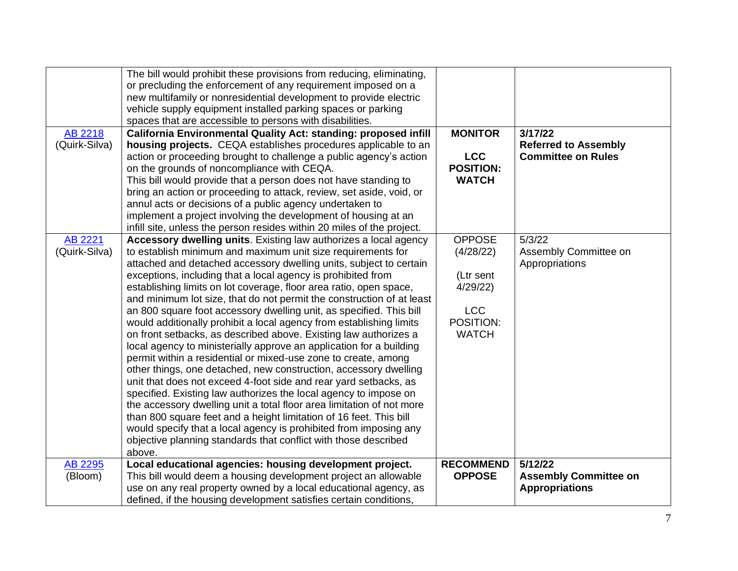|                | The bill would prohibit these provisions from reducing, eliminating,   |                  |                              |
|----------------|------------------------------------------------------------------------|------------------|------------------------------|
|                | or precluding the enforcement of any requirement imposed on a          |                  |                              |
|                | new multifamily or nonresidential development to provide electric      |                  |                              |
|                | vehicle supply equipment installed parking spaces or parking           |                  |                              |
|                | spaces that are accessible to persons with disabilities.               |                  |                              |
| AB 2218        | California Environmental Quality Act: standing: proposed infill        | <b>MONITOR</b>   | 3/17/22                      |
| (Quirk-Silva)  | housing projects. CEQA establishes procedures applicable to an         |                  | <b>Referred to Assembly</b>  |
|                | action or proceeding brought to challenge a public agency's action     | <b>LCC</b>       | <b>Committee on Rules</b>    |
|                | on the grounds of noncompliance with CEQA.                             | <b>POSITION:</b> |                              |
|                | This bill would provide that a person does not have standing to        | <b>WATCH</b>     |                              |
|                | bring an action or proceeding to attack, review, set aside, void, or   |                  |                              |
|                | annul acts or decisions of a public agency undertaken to               |                  |                              |
|                | implement a project involving the development of housing at an         |                  |                              |
|                | infill site, unless the person resides within 20 miles of the project. |                  |                              |
| <b>AB 2221</b> | Accessory dwelling units. Existing law authorizes a local agency       | <b>OPPOSE</b>    | 5/3/22                       |
| (Quirk-Silva)  | to establish minimum and maximum unit size requirements for            | (4/28/22)        | Assembly Committee on        |
|                | attached and detached accessory dwelling units, subject to certain     |                  | Appropriations               |
|                | exceptions, including that a local agency is prohibited from           | (Ltr sent        |                              |
|                | establishing limits on lot coverage, floor area ratio, open space,     | 4/29/22          |                              |
|                | and minimum lot size, that do not permit the construction of at least  |                  |                              |
|                | an 800 square foot accessory dwelling unit, as specified. This bill    | <b>LCC</b>       |                              |
|                | would additionally prohibit a local agency from establishing limits    | POSITION:        |                              |
|                | on front setbacks, as described above. Existing law authorizes a       | <b>WATCH</b>     |                              |
|                | local agency to ministerially approve an application for a building    |                  |                              |
|                | permit within a residential or mixed-use zone to create, among         |                  |                              |
|                | other things, one detached, new construction, accessory dwelling       |                  |                              |
|                | unit that does not exceed 4-foot side and rear yard setbacks, as       |                  |                              |
|                | specified. Existing law authorizes the local agency to impose on       |                  |                              |
|                | the accessory dwelling unit a total floor area limitation of not more  |                  |                              |
|                | than 800 square feet and a height limitation of 16 feet. This bill     |                  |                              |
|                | would specify that a local agency is prohibited from imposing any      |                  |                              |
|                | objective planning standards that conflict with those described        |                  |                              |
|                | above.                                                                 |                  |                              |
| AB 2295        | Local educational agencies: housing development project.               | <b>RECOMMEND</b> | 5/12/22                      |
| (Bloom)        | This bill would deem a housing development project an allowable        | <b>OPPOSE</b>    | <b>Assembly Committee on</b> |
|                | use on any real property owned by a local educational agency, as       |                  | <b>Appropriations</b>        |
|                | defined, if the housing development satisfies certain conditions,      |                  |                              |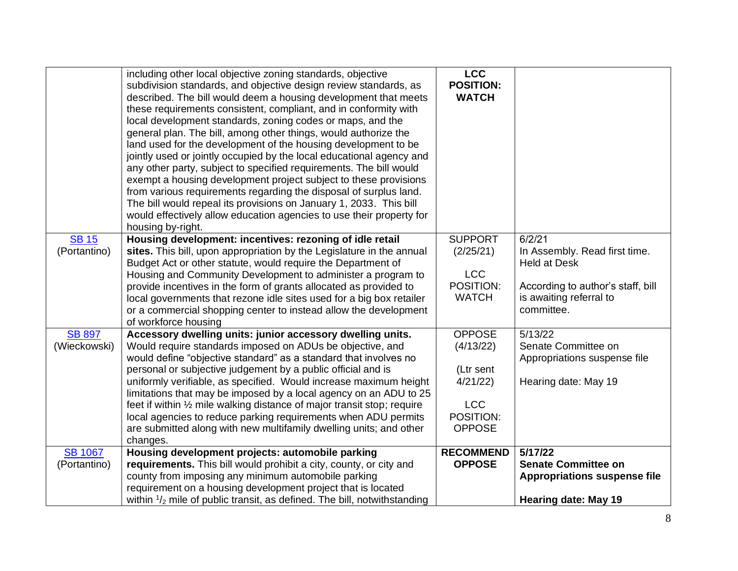|                                | including other local objective zoning standards, objective<br>subdivision standards, and objective design review standards, as<br>described. The bill would deem a housing development that meets<br>these requirements consistent, compliant, and in conformity with<br>local development standards, zoning codes or maps, and the<br>general plan. The bill, among other things, would authorize the<br>land used for the development of the housing development to be<br>jointly used or jointly occupied by the local educational agency and<br>any other party, subject to specified requirements. The bill would<br>exempt a housing development project subject to these provisions<br>from various requirements regarding the disposal of surplus land.<br>The bill would repeal its provisions on January 1, 2033. This bill<br>would effectively allow education agencies to use their property for<br>housing by-right. | <b>LCC</b><br><b>POSITION:</b><br><b>WATCH</b>                                                 |                                                                                                                                              |
|--------------------------------|-------------------------------------------------------------------------------------------------------------------------------------------------------------------------------------------------------------------------------------------------------------------------------------------------------------------------------------------------------------------------------------------------------------------------------------------------------------------------------------------------------------------------------------------------------------------------------------------------------------------------------------------------------------------------------------------------------------------------------------------------------------------------------------------------------------------------------------------------------------------------------------------------------------------------------------|------------------------------------------------------------------------------------------------|----------------------------------------------------------------------------------------------------------------------------------------------|
| <b>SB 15</b><br>(Portantino)   | Housing development: incentives: rezoning of idle retail<br>sites. This bill, upon appropriation by the Legislature in the annual<br>Budget Act or other statute, would require the Department of<br>Housing and Community Development to administer a program to<br>provide incentives in the form of grants allocated as provided to<br>local governments that rezone idle sites used for a big box retailer<br>or a commercial shopping center to instead allow the development<br>of workforce housing                                                                                                                                                                                                                                                                                                                                                                                                                          | <b>SUPPORT</b><br>(2/25/21)<br><b>LCC</b><br>POSITION:<br><b>WATCH</b>                         | 6/2/21<br>In Assembly. Read first time.<br><b>Held at Desk</b><br>According to author's staff, bill<br>is awaiting referral to<br>committee. |
| <b>SB 897</b><br>(Wieckowski)  | Accessory dwelling units: junior accessory dwelling units.<br>Would require standards imposed on ADUs be objective, and<br>would define "objective standard" as a standard that involves no<br>personal or subjective judgement by a public official and is<br>uniformly verifiable, as specified. Would increase maximum height<br>limitations that may be imposed by a local agency on an ADU to 25<br>feet if within 1/2 mile walking distance of major transit stop; require<br>local agencies to reduce parking requirements when ADU permits<br>are submitted along with new multifamily dwelling units; and other<br>changes.                                                                                                                                                                                                                                                                                                | <b>OPPOSE</b><br>(4/13/22)<br>(Ltr sent<br>4/21/22<br><b>LCC</b><br>POSITION:<br><b>OPPOSE</b> | 5/13/22<br>Senate Committee on<br>Appropriations suspense file<br>Hearing date: May 19                                                       |
| <b>SB 1067</b><br>(Portantino) | Housing development projects: automobile parking<br>requirements. This bill would prohibit a city, county, or city and<br>county from imposing any minimum automobile parking<br>requirement on a housing development project that is located<br>within $\frac{1}{2}$ mile of public transit, as defined. The bill, notwithstanding                                                                                                                                                                                                                                                                                                                                                                                                                                                                                                                                                                                                 | <b>RECOMMEND</b><br><b>OPPOSE</b>                                                              | 5/17/22<br><b>Senate Committee on</b><br><b>Appropriations suspense file</b><br><b>Hearing date: May 19</b>                                  |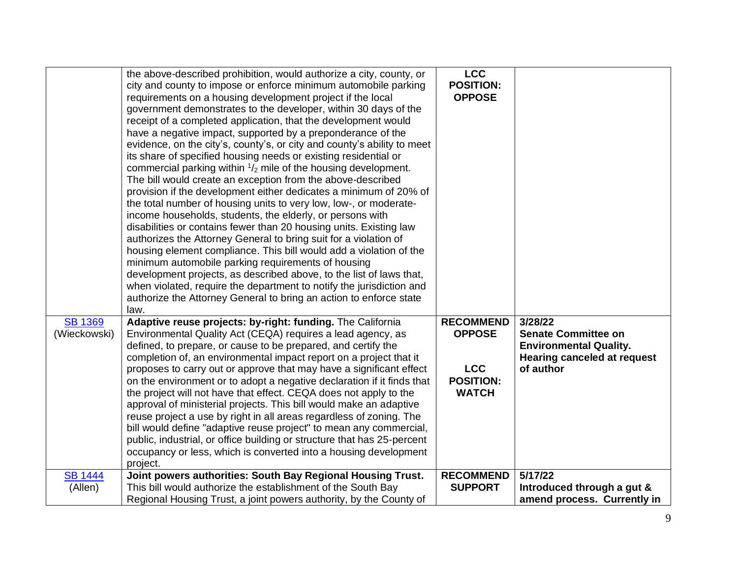|                | the above-described prohibition, would authorize a city, county, or      | <b>LCC</b>       |                                    |
|----------------|--------------------------------------------------------------------------|------------------|------------------------------------|
|                | city and county to impose or enforce minimum automobile parking          | <b>POSITION:</b> |                                    |
|                | requirements on a housing development project if the local               | <b>OPPOSE</b>    |                                    |
|                | government demonstrates to the developer, within 30 days of the          |                  |                                    |
|                | receipt of a completed application, that the development would           |                  |                                    |
|                | have a negative impact, supported by a preponderance of the              |                  |                                    |
|                | evidence, on the city's, county's, or city and county's ability to meet  |                  |                                    |
|                | its share of specified housing needs or existing residential or          |                  |                                    |
|                | commercial parking within $\frac{1}{2}$ mile of the housing development. |                  |                                    |
|                | The bill would create an exception from the above-described              |                  |                                    |
|                | provision if the development either dedicates a minimum of 20% of        |                  |                                    |
|                | the total number of housing units to very low, low-, or moderate-        |                  |                                    |
|                | income households, students, the elderly, or persons with                |                  |                                    |
|                | disabilities or contains fewer than 20 housing units. Existing law       |                  |                                    |
|                | authorizes the Attorney General to bring suit for a violation of         |                  |                                    |
|                | housing element compliance. This bill would add a violation of the       |                  |                                    |
|                | minimum automobile parking requirements of housing                       |                  |                                    |
|                | development projects, as described above, to the list of laws that,      |                  |                                    |
|                | when violated, require the department to notify the jurisdiction and     |                  |                                    |
|                | authorize the Attorney General to bring an action to enforce state       |                  |                                    |
|                | law.                                                                     |                  |                                    |
| <b>SB 1369</b> | Adaptive reuse projects: by-right: funding. The California               | <b>RECOMMEND</b> | 3/28/22                            |
| (Wieckowski)   |                                                                          | <b>OPPOSE</b>    | <b>Senate Committee on</b>         |
|                | Environmental Quality Act (CEQA) requires a lead agency, as              |                  |                                    |
|                | defined, to prepare, or cause to be prepared, and certify the            |                  | <b>Environmental Quality.</b>      |
|                | completion of, an environmental impact report on a project that it       |                  | <b>Hearing canceled at request</b> |
|                | proposes to carry out or approve that may have a significant effect      | <b>LCC</b>       | of author                          |
|                | on the environment or to adopt a negative declaration if it finds that   | <b>POSITION:</b> |                                    |
|                | the project will not have that effect. CEQA does not apply to the        | <b>WATCH</b>     |                                    |
|                | approval of ministerial projects. This bill would make an adaptive       |                  |                                    |
|                | reuse project a use by right in all areas regardless of zoning. The      |                  |                                    |
|                | bill would define "adaptive reuse project" to mean any commercial,       |                  |                                    |
|                | public, industrial, or office building or structure that has 25-percent  |                  |                                    |
|                | occupancy or less, which is converted into a housing development         |                  |                                    |
|                | project.                                                                 |                  |                                    |
| <b>SB 1444</b> | Joint powers authorities: South Bay Regional Housing Trust.              | <b>RECOMMEND</b> | 5/17/22                            |
| (Allen)        | This bill would authorize the establishment of the South Bay             | <b>SUPPORT</b>   | Introduced through a gut &         |
|                | Regional Housing Trust, a joint powers authority, by the County of       |                  | amend process. Currently in        |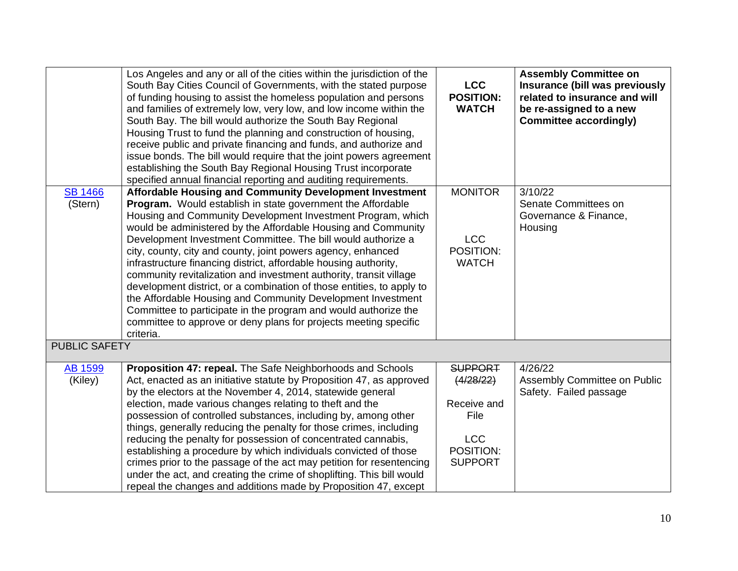|                           | Los Angeles and any or all of the cities within the jurisdiction of the<br>South Bay Cities Council of Governments, with the stated purpose<br>of funding housing to assist the homeless population and persons<br>and families of extremely low, very low, and low income within the<br>South Bay. The bill would authorize the South Bay Regional<br>Housing Trust to fund the planning and construction of housing,<br>receive public and private financing and funds, and authorize and<br>issue bonds. The bill would require that the joint powers agreement<br>establishing the South Bay Regional Housing Trust incorporate<br>specified annual financial reporting and auditing requirements.                                                            | <b>LCC</b><br><b>POSITION:</b><br><b>WATCH</b> | <b>Assembly Committee on</b><br>Insurance (bill was previously<br>related to insurance and will<br>be re-assigned to a new<br><b>Committee accordingly)</b> |
|---------------------------|-------------------------------------------------------------------------------------------------------------------------------------------------------------------------------------------------------------------------------------------------------------------------------------------------------------------------------------------------------------------------------------------------------------------------------------------------------------------------------------------------------------------------------------------------------------------------------------------------------------------------------------------------------------------------------------------------------------------------------------------------------------------|------------------------------------------------|-------------------------------------------------------------------------------------------------------------------------------------------------------------|
| <b>SB 1466</b>            | Affordable Housing and Community Development Investment                                                                                                                                                                                                                                                                                                                                                                                                                                                                                                                                                                                                                                                                                                           | <b>MONITOR</b>                                 | 3/10/22                                                                                                                                                     |
| (Stern)                   | Program. Would establish in state government the Affordable<br>Housing and Community Development Investment Program, which<br>would be administered by the Affordable Housing and Community<br>Development Investment Committee. The bill would authorize a<br>city, county, city and county, joint powers agency, enhanced<br>infrastructure financing district, affordable housing authority,<br>community revitalization and investment authority, transit village<br>development district, or a combination of those entities, to apply to<br>the Affordable Housing and Community Development Investment<br>Committee to participate in the program and would authorize the<br>committee to approve or deny plans for projects meeting specific<br>criteria. | <b>LCC</b><br>POSITION:<br><b>WATCH</b>        | Senate Committees on<br>Governance & Finance,<br>Housing                                                                                                    |
| <b>PUBLIC SAFETY</b>      |                                                                                                                                                                                                                                                                                                                                                                                                                                                                                                                                                                                                                                                                                                                                                                   |                                                |                                                                                                                                                             |
| <b>AB 1599</b><br>(Kiley) | Proposition 47: repeal. The Safe Neighborhoods and Schools<br>Act, enacted as an initiative statute by Proposition 47, as approved                                                                                                                                                                                                                                                                                                                                                                                                                                                                                                                                                                                                                                | <b>SUPPORT</b><br>(4/28/22)                    | 4/26/22<br>Assembly Committee on Public                                                                                                                     |
|                           | by the electors at the November 4, 2014, statewide general                                                                                                                                                                                                                                                                                                                                                                                                                                                                                                                                                                                                                                                                                                        |                                                | Safety. Failed passage                                                                                                                                      |
|                           | election, made various changes relating to theft and the                                                                                                                                                                                                                                                                                                                                                                                                                                                                                                                                                                                                                                                                                                          | Receive and                                    |                                                                                                                                                             |
|                           | possession of controlled substances, including by, among other                                                                                                                                                                                                                                                                                                                                                                                                                                                                                                                                                                                                                                                                                                    | File                                           |                                                                                                                                                             |
|                           | things, generally reducing the penalty for those crimes, including                                                                                                                                                                                                                                                                                                                                                                                                                                                                                                                                                                                                                                                                                                |                                                |                                                                                                                                                             |
|                           | reducing the penalty for possession of concentrated cannabis,<br>establishing a procedure by which individuals convicted of those                                                                                                                                                                                                                                                                                                                                                                                                                                                                                                                                                                                                                                 | <b>LCC</b><br>POSITION:                        |                                                                                                                                                             |
|                           | crimes prior to the passage of the act may petition for resentencing                                                                                                                                                                                                                                                                                                                                                                                                                                                                                                                                                                                                                                                                                              | <b>SUPPORT</b>                                 |                                                                                                                                                             |
|                           | under the act, and creating the crime of shoplifting. This bill would                                                                                                                                                                                                                                                                                                                                                                                                                                                                                                                                                                                                                                                                                             |                                                |                                                                                                                                                             |
|                           | repeal the changes and additions made by Proposition 47, except                                                                                                                                                                                                                                                                                                                                                                                                                                                                                                                                                                                                                                                                                                   |                                                |                                                                                                                                                             |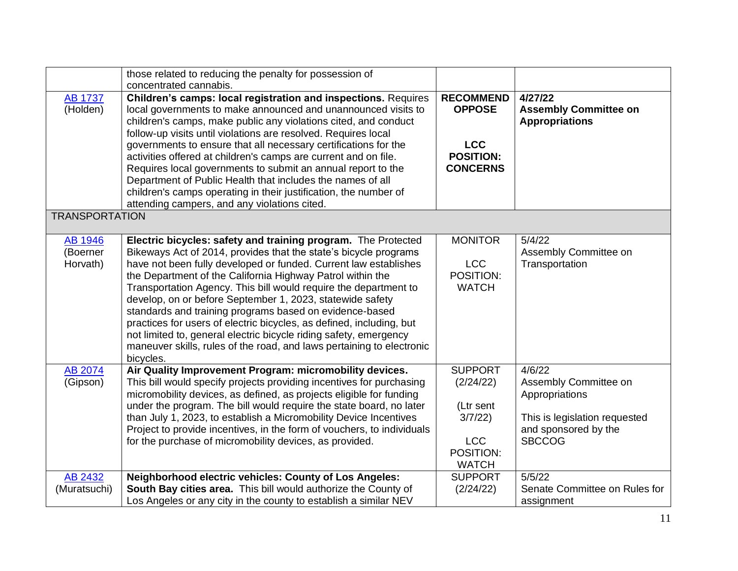|                       | those related to reducing the penalty for possession of                |                  |                               |
|-----------------------|------------------------------------------------------------------------|------------------|-------------------------------|
|                       | concentrated cannabis.                                                 |                  |                               |
| <b>AB 1737</b>        | <b>Children's camps: local registration and inspections. Requires</b>  | <b>RECOMMEND</b> | 4/27/22                       |
| (Holden)              | local governments to make announced and unannounced visits to          | <b>OPPOSE</b>    | <b>Assembly Committee on</b>  |
|                       | children's camps, make public any violations cited, and conduct        |                  | <b>Appropriations</b>         |
|                       | follow-up visits until violations are resolved. Requires local         |                  |                               |
|                       | governments to ensure that all necessary certifications for the        | <b>LCC</b>       |                               |
|                       | activities offered at children's camps are current and on file.        | <b>POSITION:</b> |                               |
|                       | Requires local governments to submit an annual report to the           | <b>CONCERNS</b>  |                               |
|                       | Department of Public Health that includes the names of all             |                  |                               |
|                       | children's camps operating in their justification, the number of       |                  |                               |
|                       | attending campers, and any violations cited.                           |                  |                               |
| <b>TRANSPORTATION</b> |                                                                        |                  |                               |
|                       |                                                                        |                  |                               |
| <b>AB 1946</b>        | Electric bicycles: safety and training program. The Protected          | <b>MONITOR</b>   | 5/4/22                        |
| (Boerner              | Bikeways Act of 2014, provides that the state's bicycle programs       |                  | Assembly Committee on         |
| Horvath)              | have not been fully developed or funded. Current law establishes       | <b>LCC</b>       | Transportation                |
|                       | the Department of the California Highway Patrol within the             | POSITION:        |                               |
|                       | Transportation Agency. This bill would require the department to       | <b>WATCH</b>     |                               |
|                       | develop, on or before September 1, 2023, statewide safety              |                  |                               |
|                       | standards and training programs based on evidence-based                |                  |                               |
|                       | practices for users of electric bicycles, as defined, including, but   |                  |                               |
|                       | not limited to, general electric bicycle riding safety, emergency      |                  |                               |
|                       | maneuver skills, rules of the road, and laws pertaining to electronic  |                  |                               |
|                       | bicycles.                                                              |                  |                               |
| AB 2074               | Air Quality Improvement Program: micromobility devices.                | <b>SUPPORT</b>   | 4/6/22                        |
| (Gipson)              | This bill would specify projects providing incentives for purchasing   | (2/24/22)        | Assembly Committee on         |
|                       | micromobility devices, as defined, as projects eligible for funding    |                  | Appropriations                |
|                       | under the program. The bill would require the state board, no later    | (Ltr sent        |                               |
|                       | than July 1, 2023, to establish a Micromobility Device Incentives      | 3/7/22           | This is legislation requested |
|                       | Project to provide incentives, in the form of vouchers, to individuals |                  | and sponsored by the          |
|                       | for the purchase of micromobility devices, as provided.                | <b>LCC</b>       | <b>SBCCOG</b>                 |
|                       |                                                                        | POSITION:        |                               |
|                       |                                                                        | <b>WATCH</b>     |                               |
| AB 2432               | Neighborhood electric vehicles: County of Los Angeles:                 | <b>SUPPORT</b>   | 5/5/22                        |
| (Muratsuchi)          | South Bay cities area. This bill would authorize the County of         | (2/24/22)        | Senate Committee on Rules for |
|                       | Los Angeles or any city in the county to establish a similar NEV       |                  | assignment                    |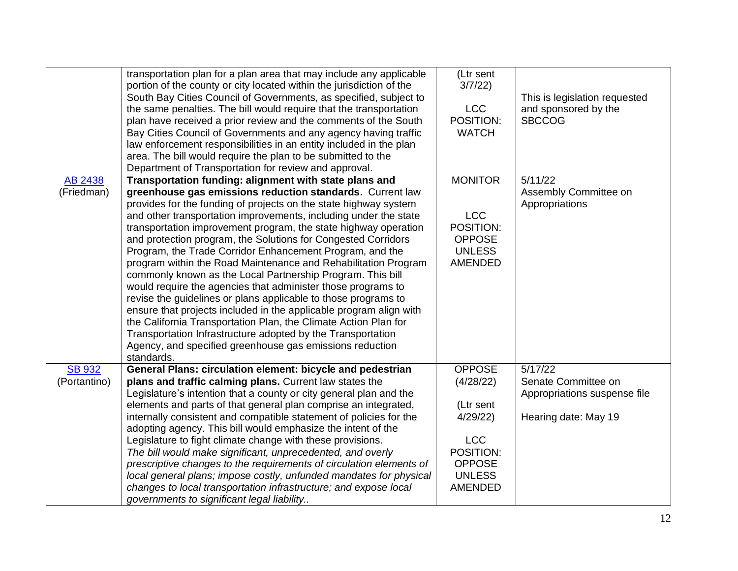|               | transportation plan for a plan area that may include any applicable<br>portion of the county or city located within the jurisdiction of the<br>South Bay Cities Council of Governments, as specified, subject to<br>the same penalties. The bill would require that the transportation<br>plan have received a prior review and the comments of the South<br>Bay Cities Council of Governments and any agency having traffic<br>law enforcement responsibilities in an entity included in the plan<br>area. The bill would require the plan to be submitted to the<br>Department of Transportation for review and approval.                                                                                                                                                                                                                                                                                                                           | (Ltr sent<br>3/7/22)<br><b>LCC</b><br>POSITION:<br><b>WATCH</b>             | This is legislation requested<br>and sponsored by the<br><b>SBCCOG</b> |
|---------------|-------------------------------------------------------------------------------------------------------------------------------------------------------------------------------------------------------------------------------------------------------------------------------------------------------------------------------------------------------------------------------------------------------------------------------------------------------------------------------------------------------------------------------------------------------------------------------------------------------------------------------------------------------------------------------------------------------------------------------------------------------------------------------------------------------------------------------------------------------------------------------------------------------------------------------------------------------|-----------------------------------------------------------------------------|------------------------------------------------------------------------|
| AB 2438       | Transportation funding: alignment with state plans and                                                                                                                                                                                                                                                                                                                                                                                                                                                                                                                                                                                                                                                                                                                                                                                                                                                                                                | <b>MONITOR</b>                                                              | 5/11/22                                                                |
| (Friedman)    | greenhouse gas emissions reduction standards. Current law<br>provides for the funding of projects on the state highway system<br>and other transportation improvements, including under the state<br>transportation improvement program, the state highway operation<br>and protection program, the Solutions for Congested Corridors<br>Program, the Trade Corridor Enhancement Program, and the<br>program within the Road Maintenance and Rehabilitation Program<br>commonly known as the Local Partnership Program. This bill<br>would require the agencies that administer those programs to<br>revise the guidelines or plans applicable to those programs to<br>ensure that projects included in the applicable program align with<br>the California Transportation Plan, the Climate Action Plan for<br>Transportation Infrastructure adopted by the Transportation<br>Agency, and specified greenhouse gas emissions reduction<br>standards. | <b>LCC</b><br>POSITION:<br><b>OPPOSE</b><br><b>UNLESS</b><br><b>AMENDED</b> | Assembly Committee on<br>Appropriations                                |
| <b>SB 932</b> | General Plans: circulation element: bicycle and pedestrian                                                                                                                                                                                                                                                                                                                                                                                                                                                                                                                                                                                                                                                                                                                                                                                                                                                                                            | <b>OPPOSE</b>                                                               | 5/17/22                                                                |
| (Portantino)  | plans and traffic calming plans. Current law states the                                                                                                                                                                                                                                                                                                                                                                                                                                                                                                                                                                                                                                                                                                                                                                                                                                                                                               | (4/28/22)                                                                   | Senate Committee on                                                    |
|               | Legislature's intention that a county or city general plan and the                                                                                                                                                                                                                                                                                                                                                                                                                                                                                                                                                                                                                                                                                                                                                                                                                                                                                    |                                                                             | Appropriations suspense file                                           |
|               | elements and parts of that general plan comprise an integrated,                                                                                                                                                                                                                                                                                                                                                                                                                                                                                                                                                                                                                                                                                                                                                                                                                                                                                       | (Ltr sent                                                                   |                                                                        |
|               | internally consistent and compatible statement of policies for the                                                                                                                                                                                                                                                                                                                                                                                                                                                                                                                                                                                                                                                                                                                                                                                                                                                                                    | 4/29/22                                                                     | Hearing date: May 19                                                   |
|               | adopting agency. This bill would emphasize the intent of the                                                                                                                                                                                                                                                                                                                                                                                                                                                                                                                                                                                                                                                                                                                                                                                                                                                                                          |                                                                             |                                                                        |
|               | Legislature to fight climate change with these provisions.                                                                                                                                                                                                                                                                                                                                                                                                                                                                                                                                                                                                                                                                                                                                                                                                                                                                                            | <b>LCC</b>                                                                  |                                                                        |
|               | The bill would make significant, unprecedented, and overly                                                                                                                                                                                                                                                                                                                                                                                                                                                                                                                                                                                                                                                                                                                                                                                                                                                                                            | POSITION:                                                                   |                                                                        |
|               | prescriptive changes to the requirements of circulation elements of                                                                                                                                                                                                                                                                                                                                                                                                                                                                                                                                                                                                                                                                                                                                                                                                                                                                                   | <b>OPPOSE</b>                                                               |                                                                        |
|               | local general plans; impose costly, unfunded mandates for physical                                                                                                                                                                                                                                                                                                                                                                                                                                                                                                                                                                                                                                                                                                                                                                                                                                                                                    | <b>UNLESS</b>                                                               |                                                                        |
|               | changes to local transportation infrastructure; and expose local                                                                                                                                                                                                                                                                                                                                                                                                                                                                                                                                                                                                                                                                                                                                                                                                                                                                                      | <b>AMENDED</b>                                                              |                                                                        |
|               | governments to significant legal liability                                                                                                                                                                                                                                                                                                                                                                                                                                                                                                                                                                                                                                                                                                                                                                                                                                                                                                            |                                                                             |                                                                        |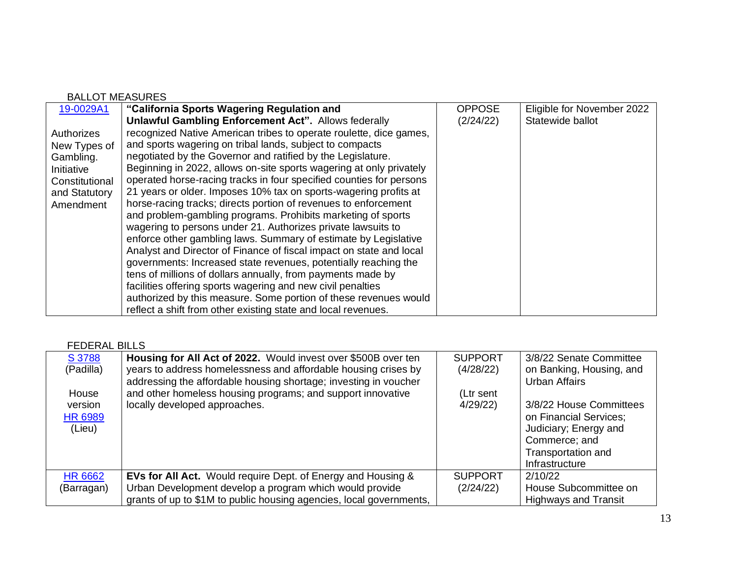| <b>BALLOT MEASURES</b> |                                                                     |               |                            |
|------------------------|---------------------------------------------------------------------|---------------|----------------------------|
| 19-0029A1              | "California Sports Wagering Regulation and                          | <b>OPPOSE</b> | Eligible for November 2022 |
|                        | <b>Unlawful Gambling Enforcement Act". Allows federally</b>         | (2/24/22)     | Statewide ballot           |
| Authorizes             | recognized Native American tribes to operate roulette, dice games,  |               |                            |
| New Types of           | and sports wagering on tribal lands, subject to compacts            |               |                            |
| Gambling.              | negotiated by the Governor and ratified by the Legislature.         |               |                            |
| Initiative             | Beginning in 2022, allows on-site sports wagering at only privately |               |                            |
| Constitutional         | operated horse-racing tracks in four specified counties for persons |               |                            |
| and Statutory          | 21 years or older. Imposes 10% tax on sports-wagering profits at    |               |                            |
| Amendment              | horse-racing tracks; directs portion of revenues to enforcement     |               |                            |
|                        | and problem-gambling programs. Prohibits marketing of sports        |               |                            |
|                        | wagering to persons under 21. Authorizes private lawsuits to        |               |                            |
|                        | enforce other gambling laws. Summary of estimate by Legislative     |               |                            |
|                        | Analyst and Director of Finance of fiscal impact on state and local |               |                            |
|                        | governments: Increased state revenues, potentially reaching the     |               |                            |
|                        | tens of millions of dollars annually, from payments made by         |               |                            |
|                        | facilities offering sports wagering and new civil penalties         |               |                            |
|                        | authorized by this measure. Some portion of these revenues would    |               |                            |
|                        | reflect a shift from other existing state and local revenues.       |               |                            |

## FEDERAL BILLS

| S 3788<br>(Padilla)<br>House<br>version<br><b>HR 6989</b><br>(Lieu) | Housing for All Act of 2022. Would invest over \$500B over ten<br>years to address homelessness and affordable housing crises by<br>addressing the affordable housing shortage; investing in voucher<br>and other homeless housing programs; and support innovative<br>locally developed approaches. | <b>SUPPORT</b><br>(4/28/22)<br>(Ltr sent<br>4/29/22 | 3/8/22 Senate Committee<br>on Banking, Housing, and<br><b>Urban Affairs</b><br>3/8/22 House Committees<br>on Financial Services;<br>Judiciary; Energy and<br>Commerce; and<br>Transportation and<br>Infrastructure |
|---------------------------------------------------------------------|------------------------------------------------------------------------------------------------------------------------------------------------------------------------------------------------------------------------------------------------------------------------------------------------------|-----------------------------------------------------|--------------------------------------------------------------------------------------------------------------------------------------------------------------------------------------------------------------------|
| <b>HR 6662</b><br>(Barragan)                                        | <b>EVs for All Act.</b> Would require Dept. of Energy and Housing &<br>Urban Development develop a program which would provide<br>grants of up to \$1M to public housing agencies, local governments,                                                                                                | <b>SUPPORT</b><br>(2/24/22)                         | 2/10/22<br>House Subcommittee on<br><b>Highways and Transit</b>                                                                                                                                                    |